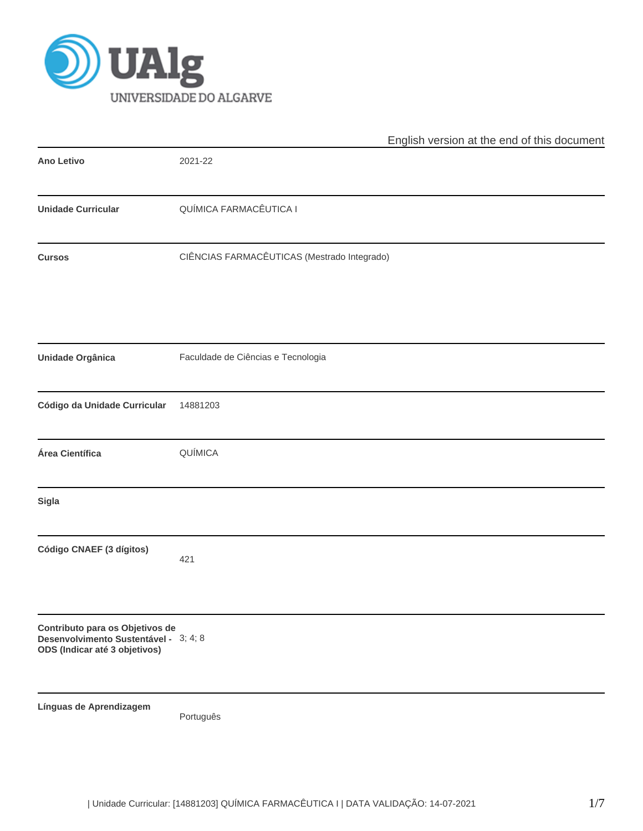

|                                                                                                           | English version at the end of this document |
|-----------------------------------------------------------------------------------------------------------|---------------------------------------------|
| <b>Ano Letivo</b>                                                                                         | 2021-22                                     |
| <b>Unidade Curricular</b>                                                                                 | QUÍMICA FARMACÊUTICA I                      |
| <b>Cursos</b>                                                                                             | CIÊNCIAS FARMACÊUTICAS (Mestrado Integrado) |
| <b>Unidade Orgânica</b>                                                                                   | Faculdade de Ciências e Tecnologia          |
| Código da Unidade Curricular                                                                              | 14881203                                    |
| Área Científica                                                                                           | QUÍMICA                                     |
| <b>Sigla</b>                                                                                              |                                             |
| Código CNAEF (3 dígitos)                                                                                  | 421                                         |
| Contributo para os Objetivos de<br>Desenvolvimento Sustentável - 3; 4; 8<br>ODS (Indicar até 3 objetivos) |                                             |
| Línguas de Aprendizagem                                                                                   | Português                                   |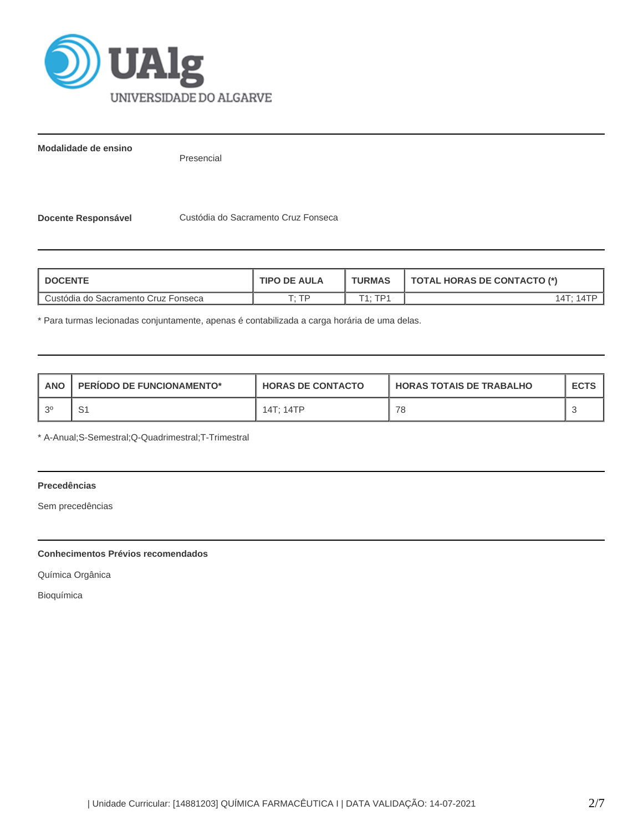

**Modalidade de ensino**

Presencial

**Docente Responsável Custódia do Sacramento Cruz Fonseca** 

| <b>DOCENTE</b>                      | <b>TIPO DE AULA</b> | <b>TURMAS</b>                | <b>TOTAL HORAS DE CONTACTO (*)</b> |  |  |
|-------------------------------------|---------------------|------------------------------|------------------------------------|--|--|
| Custódia do Sacramento Cruz Fonseca | ТD                  | TD <sub>1</sub><br>$T_{4}$ . | 14T·                               |  |  |

\* Para turmas lecionadas conjuntamente, apenas é contabilizada a carga horária de uma delas.

| <b>ANO</b> | <b>PERIODO DE FUNCIONAMENTO*</b> | <b>HORAS DE CONTACTO</b> | <b>HORAS TOTAIS DE TRABALHO</b> | <b>ECTS</b> |
|------------|----------------------------------|--------------------------|---------------------------------|-------------|
| ົດ         | . ت                              | 14T: 14TP                | 78                              |             |

\* A-Anual;S-Semestral;Q-Quadrimestral;T-Trimestral

# **Precedências**

Sem precedências

## **Conhecimentos Prévios recomendados**

Química Orgânica

Bioquímica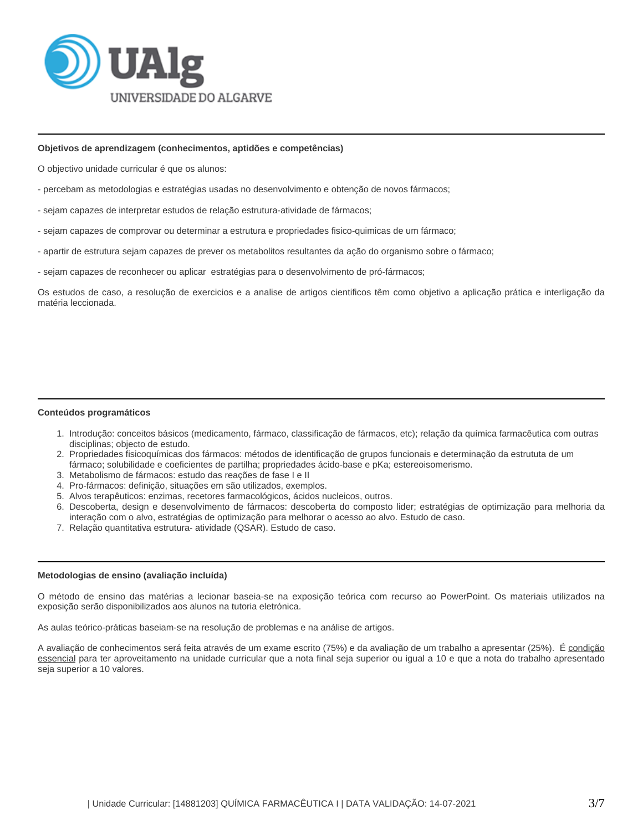

### **Objetivos de aprendizagem (conhecimentos, aptidões e competências)**

O objectivo unidade curricular é que os alunos:

- percebam as metodologias e estratégias usadas no desenvolvimento e obtenção de novos fármacos;
- sejam capazes de interpretar estudos de relação estrutura-atividade de fármacos;
- sejam capazes de comprovar ou determinar a estrutura e propriedades fisico-quimicas de um fármaco;
- apartir de estrutura sejam capazes de prever os metabolitos resultantes da ação do organismo sobre o fármaco;
- sejam capazes de reconhecer ou aplicar estratégias para o desenvolvimento de pró-fármacos;

Os estudos de caso, a resolução de exercicios e a analise de artigos cientificos têm como objetivo a aplicação prática e interligação da matéria leccionada.

#### **Conteúdos programáticos**

- 1. Introdução: conceitos básicos (medicamento, fármaco, classificação de fármacos, etc); relação da química farmacêutica com outras disciplinas; objecto de estudo.
- 2. Propriedades fisicoquímicas dos fármacos: métodos de identificação de grupos funcionais e determinação da estrututa de um fármaco; solubilidade e coeficientes de partilha; propriedades ácido-base e pKa; estereoisomerismo.
- 3. Metabolismo de fármacos: estudo das reações de fase I e II
- 4. Pro-fármacos: definição, situações em são utilizados, exemplos.
- 5. Alvos terapêuticos: enzimas, recetores farmacológicos, ácidos nucleicos, outros.
- 6. Descoberta, design e desenvolvimento de fármacos: descoberta do composto lider; estratégias de optimização para melhoria da interação com o alvo, estratégias de optimização para melhorar o acesso ao alvo. Estudo de caso.
- 7. Relação quantitativa estrutura- atividade (QSAR). Estudo de caso.

## **Metodologias de ensino (avaliação incluída)**

O método de ensino das matérias a lecionar baseia-se na exposição teórica com recurso ao PowerPoint. Os materiais utilizados na exposição serão disponibilizados aos alunos na tutoria eletrónica.

As aulas teórico-práticas baseiam-se na resolução de problemas e na análise de artigos.

A avaliação de conhecimentos será feita através de um exame escrito (75%) e da avaliação de um trabalho a apresentar (25%). É condição essencial para ter aproveitamento na unidade curricular que a nota final seja superior ou igual a 10 e que a nota do trabalho apresentado seja superior a 10 valores.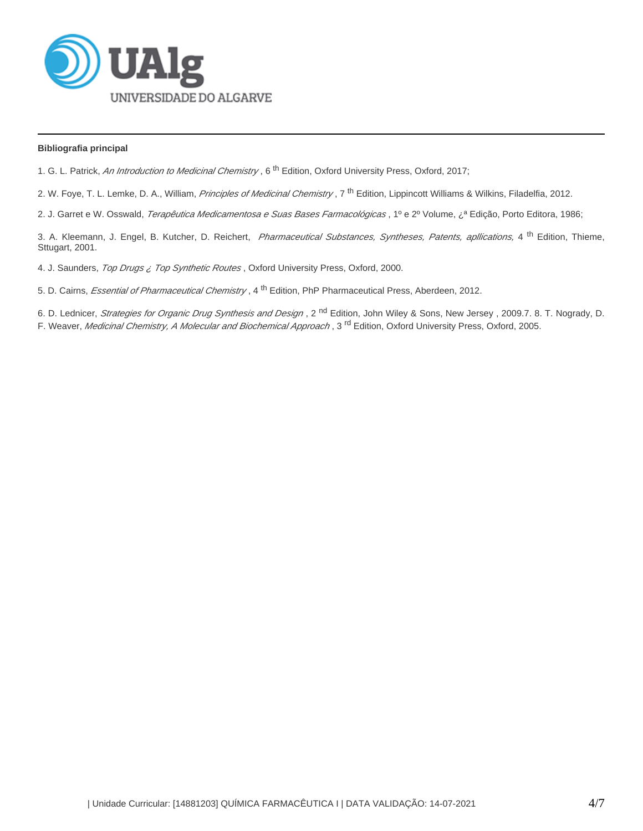

# **Bibliografia principal**

1. G. L. Patrick, An Introduction to Medicinal Chemistry, 6<sup>th</sup> Edition, Oxford University Press, Oxford, 2017;

2. W. Foye, T. L. Lemke, D. A., William, *Principles of Medicinal Chemistry*, 7<sup>th</sup> Edition, Lippincott Williams & Wilkins, Filadelfia, 2012.

2. J. Garret e W. Osswald, *Terapêutica Medicamentosa e Suas Bases Farmacológicas*, 1º e 2º Volume, ¿<sup>a</sup> Edição, Porto Editora, 1986;

3. A. Kleemann, J. Engel, B. Kutcher, D. Reichert, *Pharmaceutical Substances, Syntheses, Patents, apllications,* 4<sup>th</sup> Edition, Thieme, Sttugart, 2001.

4. J. Saunders, Top Drugs ¿ Top Synthetic Routes, Oxford University Press, Oxford, 2000.

5. D. Cairns, *Essential of Pharmaceutical Chemistry*, 4<sup>th</sup> Edition, PhP Pharmaceutical Press, Aberdeen, 2012.

6. D. Lednicer, *Strategies for Organic Drug Synthesis and Design*, 2<sup>nd</sup> Edition, John Wiley & Sons, New Jersey, 2009.7. 8. T. Nogrady, D. F. Weaver, *Medicinal Chemistry, A Molecular and Biochemical Approach*, 3<sup>rd</sup> Edition, Oxford University Press, Oxford, 2005.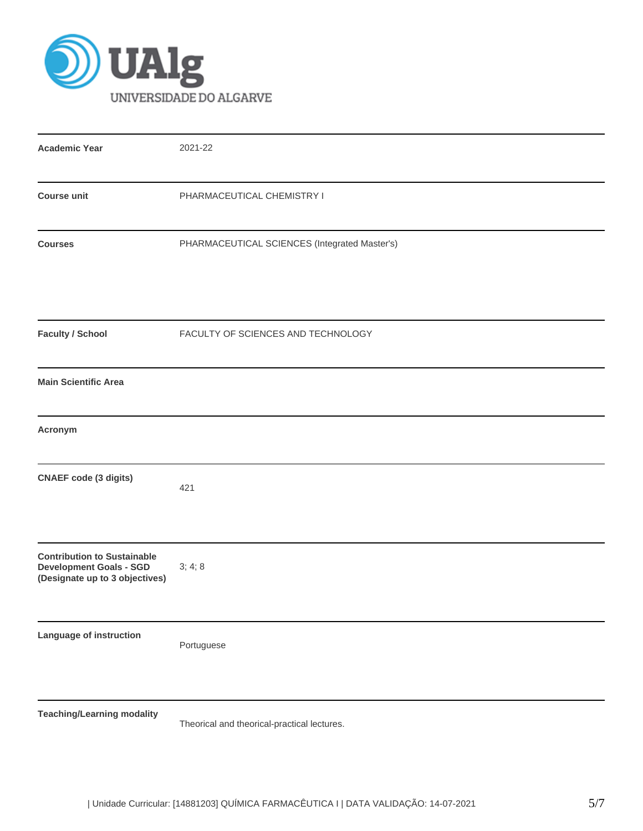

| <b>Academic Year</b>                                                                                   | 2021-22                                       |
|--------------------------------------------------------------------------------------------------------|-----------------------------------------------|
| <b>Course unit</b>                                                                                     | PHARMACEUTICAL CHEMISTRY I                    |
| <b>Courses</b>                                                                                         | PHARMACEUTICAL SCIENCES (Integrated Master's) |
| <b>Faculty / School</b>                                                                                | FACULTY OF SCIENCES AND TECHNOLOGY            |
| <b>Main Scientific Area</b>                                                                            |                                               |
| Acronym                                                                                                |                                               |
| <b>CNAEF</b> code (3 digits)                                                                           | 421                                           |
| <b>Contribution to Sustainable</b><br><b>Development Goals - SGD</b><br>(Designate up to 3 objectives) | 3; 4; 8                                       |
| Language of instruction                                                                                | Portuguese                                    |
| <b>Teaching/Learning modality</b>                                                                      | Theorical and theorical-practical lectures.   |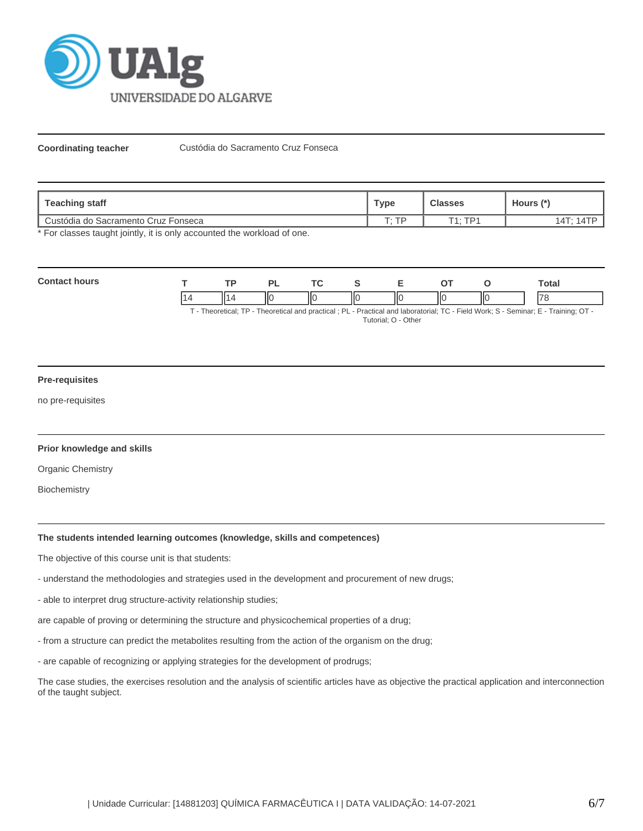

**Coordinating teacher Custódia do Sacramento Cruz Fonseca** 

| Teaching staff                      | <b>Type</b> | <b>Classes</b> | Hours (*)                |
|-------------------------------------|-------------|----------------|--------------------------|
| Custódia do Sacramento Cruz Fonseca | םד ה        | $T1 \cdot TPI$ | 14T <sup>.</sup> 1<br>41 |

\* For classes taught jointly, it is only accounted the workload of one.

| Conta | <b>TD</b> |    | $\tau$ |   |    |    |     | `otal                    |
|-------|-----------|----|--------|---|----|----|-----|--------------------------|
|       | н.        | ΙЮ | ШC     | Ш | ΠО | ΙЮ | IІC | $\overline{\phantom{a}}$ |

T - Theoretical; TP - Theoretical and practical ; PL - Practical and laboratorial; TC - Field Work; S - Seminar; E - Training; OT - Tutorial; O - Other

### **Pre-requisites**

no pre-requisites

#### **Prior knowledge and skills**

Organic Chemistry

**Biochemistry** 

# **The students intended learning outcomes (knowledge, skills and competences)**

The objective of this course unit is that students:

- understand the methodologies and strategies used in the development and procurement of new drugs;
- able to interpret drug structure-activity relationship studies;

are capable of proving or determining the structure and physicochemical properties of a drug;

- from a structure can predict the metabolites resulting from the action of the organism on the drug;
- are capable of recognizing or applying strategies for the development of prodrugs;

The case studies, the exercises resolution and the analysis of scientific articles have as objective the practical application and interconnection of the taught subject.